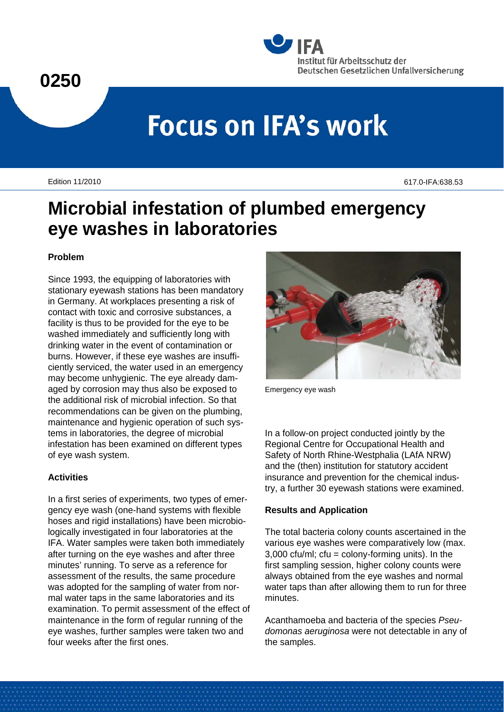



# **Focus on IFA's work**

Edition 11/2010 617.0-IFA:638.53

# **Microbial infestation of plumbed emergency eye washes in laboratories**

### **Problem**

Since 1993, the equipping of laboratories with stationary eyewash stations has been mandatory in Germany. At workplaces presenting a risk of contact with toxic and corrosive substances, a facility is thus to be provided for the eye to be washed immediately and sufficiently long with drinking water in the event of contamination or burns. However, if these eye washes are insufficiently serviced, the water used in an emergency may become unhygienic. The eye already damaged by corrosion may thus also be exposed to the additional risk of microbial infection. So that recommendations can be given on the plumbing, maintenance and hygienic operation of such systems in laboratories, the degree of microbial infestation has been examined on different types of eye wash system.

# **Activities**

In a first series of experiments, two types of emergency eye wash (one-hand systems with flexible hoses and rigid installations) have been microbiologically investigated in four laboratories at the IFA. Water samples were taken both immediately after turning on the eye washes and after three minutes' running. To serve as a reference for assessment of the results, the same procedure was adopted for the sampling of water from normal water taps in the same laboratories and its examination. To permit assessment of the effect of maintenance in the form of regular running of the eye washes, further samples were taken two and four weeks after the first ones.



Emergency eye wash

In a follow-on project conducted jointly by the Regional Centre for Occupational Health and Safety of North Rhine-Westphalia (LAfA NRW) and the (then) institution for statutory accident insurance and prevention for the chemical industry, a further 30 eyewash stations were examined.

# **Results and Application**

The total bacteria colony counts ascertained in the various eye washes were comparatively low (max.  $3,000$  cfu/ml; cfu = colony-forming units). In the first sampling session, higher colony counts were always obtained from the eye washes and normal water taps than after allowing them to run for three minutes.

Acanthamoeba and bacteria of the species *Pseudomonas aeruginosa* were not detectable in any of the samples.